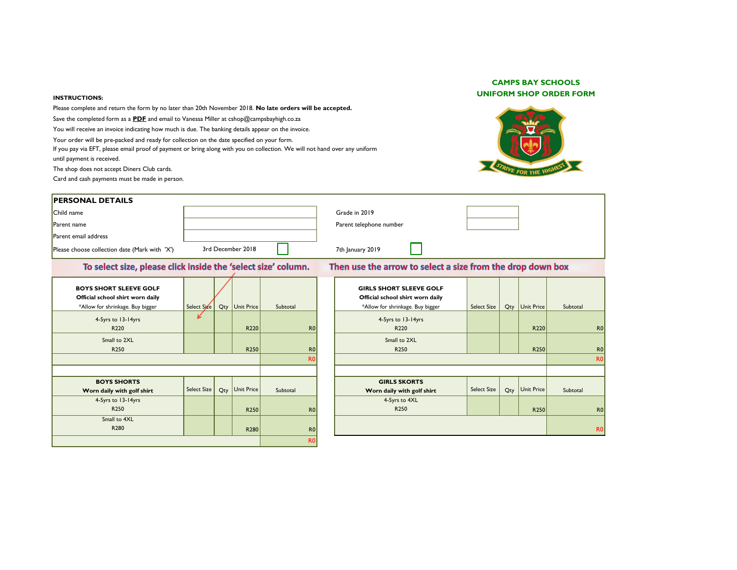## **INSTRUCTIONS:**

Please complete and return the form by no later than 20th November 2018. **No late orders will be accepted.** Save the completed form as a **PDF** and email to Vanessa Miller at cshop@campsbayhigh.co.za

You will receive an invoice indicating how much is due. The banking details appear on the invoice.

Your order will be pre-packed and ready for collection on the date specified on your form.

If you pay via EFT, please email proof of payment or bring along with you on collection. We will not hand over any uniform until payment is received.

The shop does not accept Diners Club cards.

Card and cash payments must be made in person.

## **CAMPS BAY SCHOOLS UNIFORM SHOP ORDER FORM**



| <b>PERSONAL DETAILS</b>                                                                               |                    |                   |                |                                                                                                        |                    |                  |          |                |
|-------------------------------------------------------------------------------------------------------|--------------------|-------------------|----------------|--------------------------------------------------------------------------------------------------------|--------------------|------------------|----------|----------------|
| Child name                                                                                            |                    |                   |                | Grade in 2019                                                                                          |                    |                  |          |                |
| Parent name                                                                                           |                    |                   |                | Parent telephone number                                                                                |                    |                  |          |                |
| Parent email address                                                                                  |                    |                   |                |                                                                                                        |                    |                  |          |                |
| Please choose collection date (Mark with 'X')                                                         |                    | 3rd December 2018 |                | 7th January 2019                                                                                       |                    |                  |          |                |
| To select size, please click inside the 'select size' column.                                         |                    |                   |                | Then use the arrow to select a size from the drop down box                                             |                    |                  |          |                |
| <b>BOYS SHORT SLEEVE GOLF</b><br>Official school shirt worn daily<br>*Allow for shrinkage. Buy bigger | Select Size        | Qty Unit Price    | Subtotal       | <b>GIRLS SHORT SLEEVE GOLF</b><br>Official school shirt worn daily<br>*Allow for shrinkage. Buy bigger | <b>Select Size</b> | Qty Unit Price   | Subtotal |                |
| 4-5yrs to 13-14yrs<br>R220                                                                            | V                  | R <sub>220</sub>  | R <sub>0</sub> | 4-5yrs to 13-14yrs<br>R220                                                                             |                    | R220             |          | R <sub>0</sub> |
| Small to 2XL<br>R250                                                                                  |                    | R <sub>250</sub>  | R <sub>0</sub> | Small to 2XL<br>R <sub>250</sub>                                                                       |                    | R <sub>250</sub> |          | R <sub>0</sub> |
|                                                                                                       |                    |                   | R <sub>0</sub> |                                                                                                        |                    |                  |          | R <sub>0</sub> |
| <b>BOYS SHORTS</b><br>Worn daily with golf shirt                                                      | <b>Select Size</b> | Qty Unit Price    | Subtotal       | <b>GIRLS SKORTS</b><br>Worn daily with golf shirt                                                      | <b>Select Size</b> | Qty Unit Price   | Subtotal |                |
| 4-5yrs to 13-14yrs<br>R250                                                                            |                    | R <sub>250</sub>  | R <sub>0</sub> | 4-5yrs to 4XL<br>R <sub>250</sub>                                                                      |                    | R <sub>250</sub> |          | R <sub>0</sub> |
| Small to 4XL<br>R280                                                                                  |                    | R <sub>280</sub>  | R <sub>0</sub> |                                                                                                        |                    |                  |          | R <sub>0</sub> |
|                                                                                                       |                    |                   | R <sub>0</sub> |                                                                                                        |                    |                  |          |                |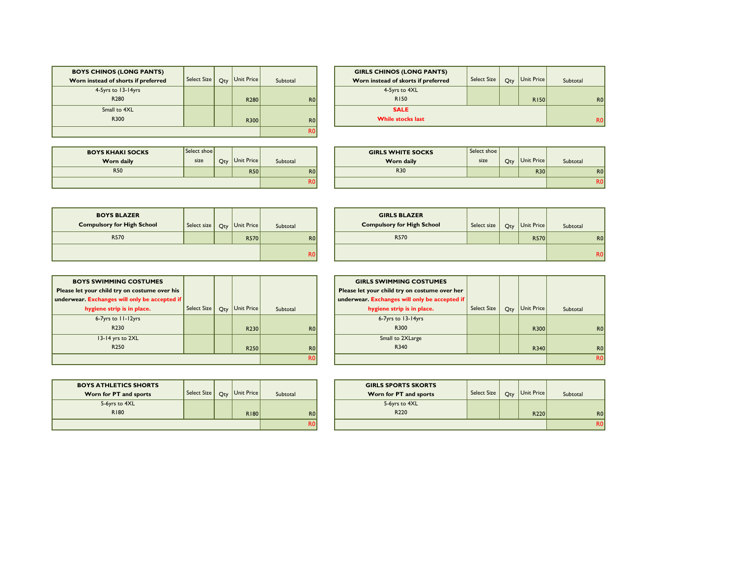| <b>BOYS CHINOS (LONG PANTS)</b>     |                    |     |                   |                |
|-------------------------------------|--------------------|-----|-------------------|----------------|
| Worn instead of shorts if preferred | <b>Select Size</b> | Qty | <b>Unit Price</b> | Subtotal       |
| 4-5yrs to 13-14yrs                  |                    |     |                   |                |
| R280                                |                    |     | R <sub>280</sub>  | R <sub>0</sub> |
| Small to 4XL                        |                    |     |                   |                |
| R300                                |                    |     | R300              | R <sub>0</sub> |
|                                     | R0                 |     |                   |                |

| <b>GIRLS CHINOS (LONG PANTS)</b>    |                    |     |             |                |
|-------------------------------------|--------------------|-----|-------------|----------------|
| Worn instead of skorts if preferred | <b>Select Size</b> | Qty | Unit Price  | Subtotal       |
| 4-5yrs to 4XL                       |                    |     |             |                |
| <b>R150</b>                         |                    |     | <b>R150</b> | R <sub>0</sub> |
| <b>SALE</b>                         |                    |     |             |                |
| <b>While stocks last</b>            |                    |     |             |                |

| <b>BOYS KHAKI SOCKS</b> | Select shoe |     |            |          |
|-------------------------|-------------|-----|------------|----------|
| Worn daily              | size        | Qty | Unit Price | Subtotal |
| <b>R50</b>              |             |     | <b>R50</b> | R0       |
|                         |             |     |            | ĸυ       |

| <b>IAKI SOCKS</b> | Select shoe |                |                | <b>GIRLS WHITE SOCKS</b> | Select shoe |     |            |                 |
|-------------------|-------------|----------------|----------------|--------------------------|-------------|-----|------------|-----------------|
| rn dailv          | size        | Qty Unit Price | Subtotal       | <b>Worn daily</b>        | size        | Qty | Unit Price | Subtotal        |
| <b>R50</b>        |             | <b>R50</b>     | R <sub>0</sub> | <b>R30</b>               |             |     | <b>R30</b> | RO <sub>1</sub> |
|                   |             |                | R٥Ι            |                          |             |     |            | R <sub>0</sub>  |

| <b>BOYS BLAZER</b><br><b>Compulsory for High School</b> | Select size | Qty | Unit Price  | Subtotal       |  |
|---------------------------------------------------------|-------------|-----|-------------|----------------|--|
| R570                                                    |             |     | <b>R570</b> | R <sub>0</sub> |  |
|                                                         | R0          |     |             |                |  |

| <b>BLAZER</b><br>for High School | Select size |  | $Q_{\text{ty}}$ Unit Price | Subtotal        | <b>GIRLS BLAZER</b><br><b>Compulsory for High School</b> | Select size | Qty | Unit Price  | Subtotal       |                |
|----------------------------------|-------------|--|----------------------------|-----------------|----------------------------------------------------------|-------------|-----|-------------|----------------|----------------|
| R570                             |             |  | <b>R570</b>                | RO <sub>1</sub> | R570                                                     |             |     | <b>R570</b> |                | R <sub>0</sub> |
|                                  |             |  | R <sub>0</sub>             |                 |                                                          |             |     |             | R <sub>0</sub> |                |

| <b>BOYS SWIMMING COSTUMES</b>                 |                    |     |                  |                |                |
|-----------------------------------------------|--------------------|-----|------------------|----------------|----------------|
| Please let your child try on costume over his |                    |     |                  |                |                |
| underwear. Exchanges will only be accepted if |                    |     |                  |                |                |
| hygiene strip is in place.                    | <b>Select Size</b> | Qty | Unit Price       | Subtotal       |                |
| 6-7yrs to 11-12yrs                            |                    |     |                  |                |                |
| R <sub>230</sub>                              |                    |     | R230             | RO             |                |
| $13-14$ yrs to $2XL$                          |                    |     |                  |                |                |
| R <sub>250</sub>                              |                    |     | R <sub>250</sub> |                | R <sub>0</sub> |
|                                               |                    |     |                  | R <sub>0</sub> |                |

|                | <b>GIRLS SWIMMING COSTUMES</b>                |                    |     |            |                |
|----------------|-----------------------------------------------|--------------------|-----|------------|----------------|
|                | Please let your child try on costume over her |                    |     |            |                |
|                | underwear. Exchanges will only be accepted if |                    |     |            |                |
|                | hygiene strip is in place.                    | <b>Select Size</b> | Qty | Unit Price | Subtotal       |
|                | 6-7yrs to 13-14yrs                            |                    |     |            |                |
| <b>RO</b>      | R300                                          |                    |     | R300       | R <sub>0</sub> |
|                | Small to 2XLarge                              |                    |     |            |                |
| <b>RO</b>      | R340                                          |                    |     | R340       | R <sub>0</sub> |
| R <sub>0</sub> |                                               |                    |     |            | <b>R0</b>      |

| <b>BOYS ATHLETICS SHORTS</b><br>Worn for PT and sports | Select Size | Oty | Unit Price  | Subtotal       |
|--------------------------------------------------------|-------------|-----|-------------|----------------|
| 5-6yrs to 4XL                                          |             |     |             |                |
| R180                                                   |             |     | <b>R180</b> | R <sub>0</sub> |
|                                                        |             |     |             |                |

|                | <b>GIRLS SPORTS SKORTS</b> |                    |     |                  |          |                |
|----------------|----------------------------|--------------------|-----|------------------|----------|----------------|
|                | Worn for PT and sports     | <b>Select Size</b> | Qty | Unit Price       | Subtotal |                |
|                | 5-6yrs to 4XL              |                    |     |                  |          |                |
| <b>RO</b>      | R220                       |                    |     | R <sub>220</sub> |          | R <sub>0</sub> |
| R <sub>0</sub> |                            |                    |     |                  |          |                |